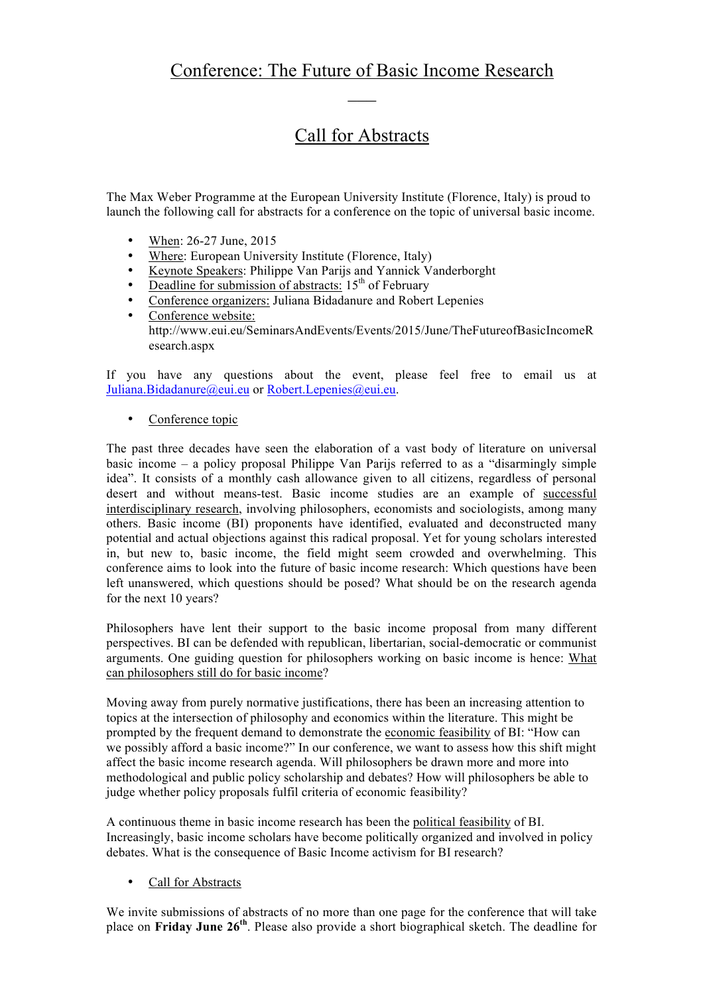## Call for Abstracts

The Max Weber Programme at the European University Institute (Florence, Italy) is proud to launch the following call for abstracts for a conference on the topic of universal basic income.

- When: 26-27 June, 2015
- Where: European University Institute (Florence, Italy)
- Keynote Speakers: Philippe Van Parijs and Yannick Vanderborght
- Deadline for submission of abstracts:  $15<sup>th</sup>$  of February
- Conference organizers: Juliana Bidadanure and Robert Lepenies
- Conference website: http://www.eui.eu/SeminarsAndEvents/Events/2015/June/TheFutureofBasicIncomeR esearch.aspx

If you have any questions about the event, please feel free to email us at Juliana.Bidadanure@eui.eu or Robert.Lepenies@eui.eu.

• Conference topic

The past three decades have seen the elaboration of a vast body of literature on universal basic income – a policy proposal Philippe Van Parijs referred to as a "disarmingly simple idea". It consists of a monthly cash allowance given to all citizens, regardless of personal desert and without means-test. Basic income studies are an example of successful interdisciplinary research, involving philosophers, economists and sociologists, among many others. Basic income (BI) proponents have identified, evaluated and deconstructed many potential and actual objections against this radical proposal. Yet for young scholars interested in, but new to, basic income, the field might seem crowded and overwhelming. This conference aims to look into the future of basic income research: Which questions have been left unanswered, which questions should be posed? What should be on the research agenda for the next 10 years?

Philosophers have lent their support to the basic income proposal from many different perspectives. BI can be defended with republican, libertarian, social-democratic or communist arguments. One guiding question for philosophers working on basic income is hence: What can philosophers still do for basic income?

Moving away from purely normative justifications, there has been an increasing attention to topics at the intersection of philosophy and economics within the literature. This might be prompted by the frequent demand to demonstrate the economic feasibility of BI: "How can we possibly afford a basic income?" In our conference, we want to assess how this shift might affect the basic income research agenda. Will philosophers be drawn more and more into methodological and public policy scholarship and debates? How will philosophers be able to judge whether policy proposals fulfil criteria of economic feasibility?

A continuous theme in basic income research has been the political feasibility of BI. Increasingly, basic income scholars have become politically organized and involved in policy debates. What is the consequence of Basic Income activism for BI research?

Call for Abstracts

We invite submissions of abstracts of no more than one page for the conference that will take place on **Friday June 26th**. Please also provide a short biographical sketch. The deadline for